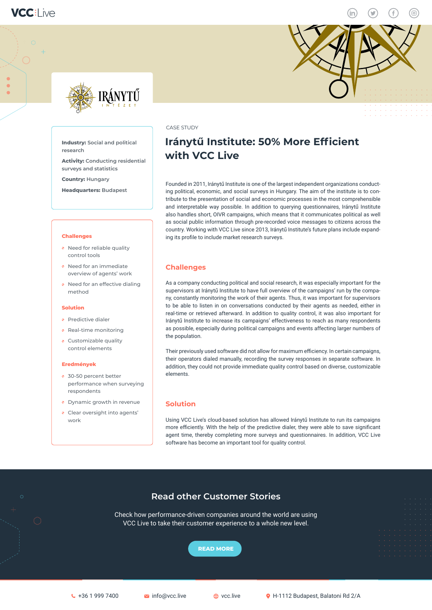



**Industry: Social and political** 

**surveys and statistics Country: Hungary** 

**Headquarters: Budapest** 

• Need for reliable quality control tools

• Need for an immediate overview of agents' work • Need for an effective dialing

**Activity: Conducting residential** 

**research**

**Challenges**

method

**Eredmények**

30-50 percent better

respondents

work

performance when surveying

• Dynamic growth in revenue Clear oversight into agents'

• Predictive dialer **Real-time monitoring** • Customizable quality control elements

**Solution**



### CASE STUDY

## **Iránytű Institute: 50% More Efficient with VCC Live**

Founded in 2011, Iránytű Institute is one of the largest independent organizations conducting political, economic, and social surveys in Hungary. The aim of the institute is to contribute to the presentation of social and economic processes in the most comprehensible and interpretable way possible. In addition to querying questionnaires, Iránytű Institute also handles short, OIVR campaigns, which means that it communicates political as well as social public information through pre-recorded voice messages to citizens across the country. Working with VCC Live since 2013, Iránytű Institute's future plans include expanding its profile to include market research surveys.

## **Challenges**

As a company conducting political and social research, it was especially important for the supervisors at Iránytű Institute to have full overview of the campaigns' run by the company, constantly monitoring the work of their agents. Thus, it was important for supervisors to be able to listen in on conversations conducted by their agents as needed, either in real-time or retrieved afterward. In addition to quality control, it was also important for Iránytű Institute to increase its campaigns' effectiveness to reach as many respondents as possible, especially during political campaigns and events affecting larger numbers of the population.

Their previously used software did not allow for maximum efficiency. In certain campaigns, their operators dialed manually, recording the survey responses in separate software. In addition, they could not provide immediate quality control based on diverse, customizable elements.

## **Solution**

Using VCC Live's cloud-based solution has allowed Iránytű Institute to run its campaigns more efficiently. With the help of the predictive dialer, they were able to save significant agent time, thereby completing more surveys and questionnaires. In addition, VCC Live software has become an important tool for quality control.

## **Read other Customer Stories**

Check how performance-driven companies around the world are using VCC Live to take their customer experience to a whole new level.